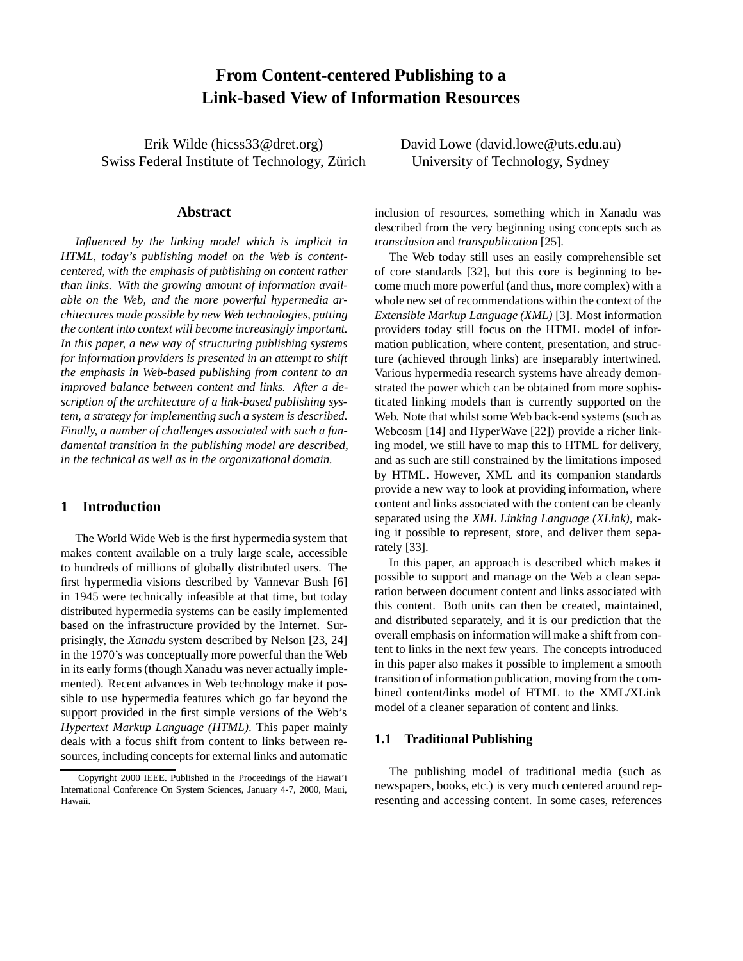# **From Content-centered Publishing to a Link-based View of Information Resources**

Erik Wilde (hicss33@dret.org) Swiss Federal Institute of Technology, Zürich

## **Abstract**

*Influenced by the linking model which is implicit in HTML, today's publishing model on the Web is contentcentered, with the emphasis of publishing on content rather than links. With the growing amount of information available on the Web, and the more powerful hypermedia architectures made possible by new Web technologies, putting the content into context will become increasingly important. In this paper, a new way of structuring publishing systems for information providers is presented in an attempt to shift the emphasis in Web-based publishing from content to an improved balance between content and links. After a description of the architecture of a link-based publishing system, a strategy for implementing such a system is described. Finally, a number of challenges associated with such a fundamental transition in the publishing model are described, in the technical as well as in the organizational domain.*

## **1 Introduction**

The World Wide Web is the first hypermedia system that makes content available on a truly large scale, accessible to hundreds of millions of globally distributed users. The first hypermedia visions described by Vannevar Bush [6] in 1945 were technically infeasible at that time, but today distributed hypermedia systems can be easily implemented based on the infrastructure provided by the Internet. Surprisingly, the *Xanadu* system described by Nelson [23, 24] in the 1970's was conceptually more powerful than the Web in its early forms (though Xanadu was never actually implemented). Recent advances in Web technology make it possible to use hypermedia features which go far beyond the support provided in the first simple versions of the Web's *Hypertext Markup Language (HTML)*. This paper mainly deals with a focus shift from content to links between resources, including concepts for external links and automatic David Lowe (david.lowe@uts.edu.au) University of Technology, Sydney

inclusion of resources, something which in Xanadu was described from the very beginning using concepts such as *transclusion* and *transpublication* [25].

The Web today still uses an easily comprehensible set of core standards [32], but this core is beginning to become much more powerful (and thus, more complex) with a whole new set of recommendations within the context of the *Extensible Markup Language (XML)* [3]. Most information providers today still focus on the HTML model of information publication, where content, presentation, and structure (achieved through links) are inseparably intertwined. Various hypermedia research systems have already demonstrated the power which can be obtained from more sophisticated linking models than is currently supported on the Web. Note that whilst some Web back-end systems (such as Webcosm [14] and HyperWave [22]) provide a richer linking model, we still have to map this to HTML for delivery, and as such are still constrained by the limitations imposed by HTML. However, XML and its companion standards provide a new way to look at providing information, where content and links associated with the content can be cleanly separated using the *XML Linking Language (XLink)*, making it possible to represent, store, and deliver them separately [33].

In this paper, an approach is described which makes it possible to support and manage on the Web a clean separation between document content and links associated with this content. Both units can then be created, maintained, and distributed separately, and it is our prediction that the overall emphasis on information will make a shift from content to links in the next few years. The concepts introduced in this paper also makes it possible to implement a smooth transition of information publication, moving from the combined content/links model of HTML to the XML/XLink model of a cleaner separation of content and links.

## **1.1 Traditional Publishing**

The publishing model of traditional media (such as newspapers, books, etc.) is very much centered around representing and accessing content. In some cases, references

Copyright 2000 IEEE. Published in the Proceedings of the Hawai'i International Conference On System Sciences, January 4-7, 2000, Maui, Hawaii.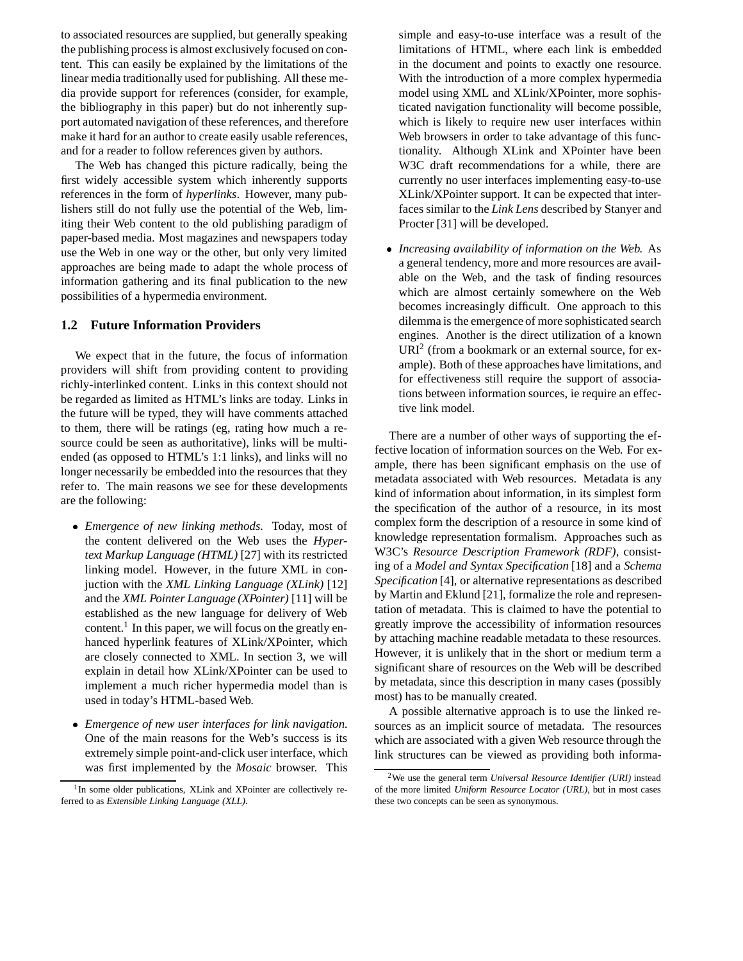to associated resources are supplied, but generally speaking the publishing process is almost exclusively focused on content. This can easily be explained by the limitations of the linear media traditionally used for publishing. All these media provide support for references (consider, for example, the bibliography in this paper) but do not inherently support automated navigation of these references, and therefore make it hard for an author to create easily usable references, and for a reader to follow references given by authors.

The Web has changed this picture radically, being the first widely accessible system which inherently supports references in the form of *hyperlinks*. However, many publishers still do not fully use the potential of the Web, limiting their Web content to the old publishing paradigm of paper-based media. Most magazines and newspapers today use the Web in one way or the other, but only very limited approaches are being made to adapt the whole process of information gathering and its final publication to the new possibilities of a hypermedia environment.

#### **1.2 Future Information Providers**

We expect that in the future, the focus of information providers will shift from providing content to providing richly-interlinked content. Links in this context should not be regarded as limited as HTML's links are today. Links in the future will be typed, they will have comments attached to them, there will be ratings (eg, rating how much a resource could be seen as authoritative), links will be multiended (as opposed to HTML's 1:1 links), and links will no longer necessarily be embedded into the resources that they refer to. The main reasons we see for these developments are the following:

- *Emergence of new linking methods.* Today, most of the content delivered on the Web uses the *Hypertext Markup Language (HTML)* [27] with its restricted linking model. However, in the future XML in conjuction with the *XML Linking Language (XLink)* [12] and the *XML Pointer Language (XPointer)* [11] will be established as the new language for delivery of Web content.<sup>1</sup> In this paper, we will focus on the greatly enhanced hyperlink features of XLink/XPointer, which are closely connected to XML. In section 3, we will explain in detail how XLink/XPointer can be used to implement a much richer hypermedia model than is used in today's HTML-based Web.
- *Emergence of new user interfaces for link navigation.* One of the main reasons for the Web's success is its extremely simple point-and-click user interface, which was first implemented by the *Mosaic* browser. This

simple and easy-to-use interface was a result of the limitations of HTML, where each link is embedded in the document and points to exactly one resource. With the introduction of a more complex hypermedia model using XML and XLink/XPointer, more sophisticated navigation functionality will become possible, which is likely to require new user interfaces within Web browsers in order to take advantage of this functionality. Although XLink and XPointer have been W3C draft recommendations for a while, there are currently no user interfaces implementing easy-to-use XLink/XPointer support. It can be expected that interfaces similar to the *Link Lens* described by Stanyer and Procter [31] will be developed.

 *Increasing availability of information on the Web.* As a general tendency, more and more resources are available on the Web, and the task of finding resources which are almost certainly somewhere on the Web becomes increasingly difficult. One approach to this dilemma is the emergence of more sophisticated search engines. Another is the direct utilization of a known  $URI<sup>2</sup>$  (from a bookmark or an external source, for example). Both of these approaches have limitations, and for effectiveness still require the support of associations between information sources, ie require an effective link model.

There are a number of other ways of supporting the effective location of information sources on the Web. For example, there has been significant emphasis on the use of metadata associated with Web resources. Metadata is any kind of information about information, in its simplest form the specification of the author of a resource, in its most complex form the description of a resource in some kind of knowledge representation formalism. Approaches such as W3C's *Resource Description Framework (RDF)*, consisting of a *Model and Syntax Specification* [18] and a *Schema Specification* [4], or alternative representations as described by Martin and Eklund [21], formalize the role and representation of metadata. This is claimed to have the potential to greatly improve the accessibility of information resources by attaching machine readable metadata to these resources. However, it is unlikely that in the short or medium term a significant share of resources on the Web will be described by metadata, since this description in many cases (possibly most) has to be manually created.

A possible alternative approach is to use the linked resources as an implicit source of metadata. The resources which are associated with a given Web resource through the link structures can be viewed as providing both informa-

<sup>&</sup>lt;sup>1</sup>In some older publications, XLink and XPointer are collectively referred to as *Extensible Linking Language (XLL)*.

<sup>2</sup>We use the general term *Universal Resource Identifier (URI)* instead of the more limited *Uniform Resource Locator (URL)*, but in most cases these two concepts can be seen as synonymous.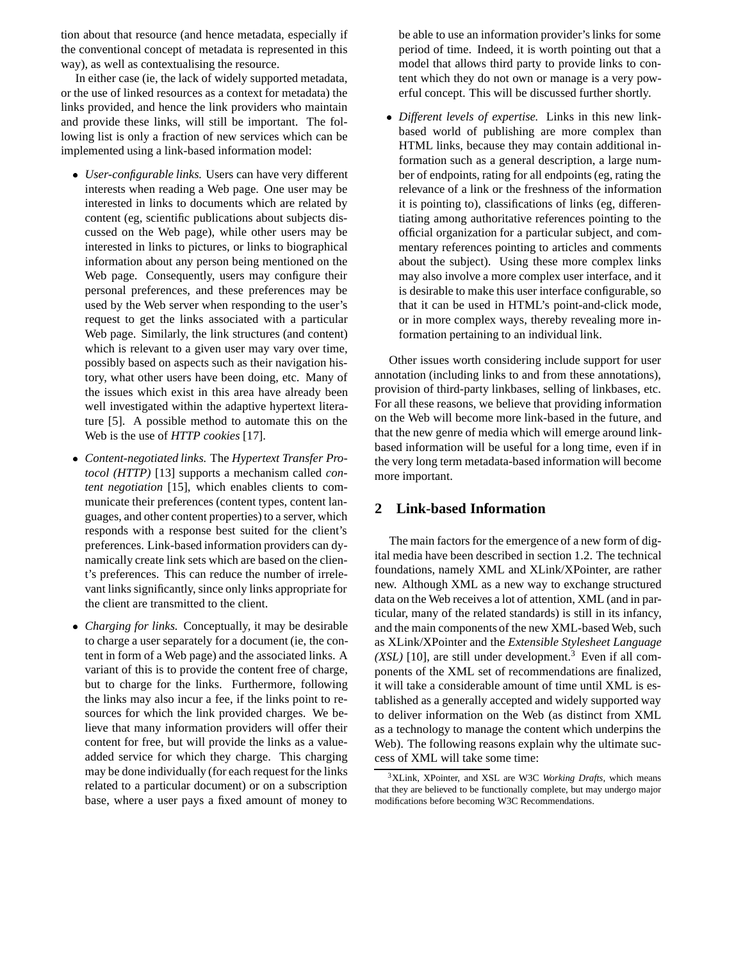tion about that resource (and hence metadata, especially if the conventional concept of metadata is represented in this way), as well as contextualising the resource.

In either case (ie, the lack of widely supported metadata, or the use of linked resources as a context for metadata) the links provided, and hence the link providers who maintain and provide these links, will still be important. The following list is only a fraction of new services which can be implemented using a link-based information model:

- *User-configurable links.* Users can have very different interests when reading a Web page. One user may be interested in links to documents which are related by content (eg, scientific publications about subjects discussed on the Web page), while other users may be interested in links to pictures, or links to biographical information about any person being mentioned on the Web page. Consequently, users may configure their personal preferences, and these preferences may be used by the Web server when responding to the user's request to get the links associated with a particular Web page. Similarly, the link structures (and content) which is relevant to a given user may vary over time, possibly based on aspects such as their navigation history, what other users have been doing, etc. Many of the issues which exist in this area have already been well investigated within the adaptive hypertext literature [5]. A possible method to automate this on the Web is the use of *HTTP cookies* [17].
- *Content-negotiated links.* The *Hypertext Transfer Protocol (HTTP)* [13] supports a mechanism called *content negotiation* [15], which enables clients to communicate their preferences (content types, content languages, and other content properties) to a server, which responds with a response best suited for the client's preferences. Link-based information providers can dynamically create link sets which are based on the client's preferences. This can reduce the number of irrelevant links significantly, since only links appropriate for the client are transmitted to the client.
- *Charging for links.* Conceptually, it may be desirable to charge a user separately for a document (ie, the content in form of a Web page) and the associated links. A variant of this is to provide the content free of charge, but to charge for the links. Furthermore, following the links may also incur a fee, if the links point to resources for which the link provided charges. We believe that many information providers will offer their content for free, but will provide the links as a valueadded service for which they charge. This charging may be done individually (for each request for the links related to a particular document) or on a subscription base, where a user pays a fixed amount of money to

be able to use an information provider's links for some period of time. Indeed, it is worth pointing out that a model that allows third party to provide links to content which they do not own or manage is a very powerful concept. This will be discussed further shortly.

 *Different levels of expertise.* Links in this new linkbased world of publishing are more complex than HTML links, because they may contain additional information such as a general description, a large number of endpoints, rating for all endpoints (eg, rating the relevance of a link or the freshness of the information it is pointing to), classifications of links (eg, differentiating among authoritative references pointing to the official organization for a particular subject, and commentary references pointing to articles and comments about the subject). Using these more complex links may also involve a more complex user interface, and it is desirable to make this user interface configurable, so that it can be used in HTML's point-and-click mode, or in more complex ways, thereby revealing more information pertaining to an individual link.

Other issues worth considering include support for user annotation (including links to and from these annotations), provision of third-party linkbases, selling of linkbases, etc. For all these reasons, we believe that providing information on the Web will become more link-based in the future, and that the new genre of media which will emerge around linkbased information will be useful for a long time, even if in the very long term metadata-based information will become more important.

## **2 Link-based Information**

The main factors for the emergence of a new form of digital media have been described in section 1.2. The technical foundations, namely XML and XLink/XPointer, are rather new. Although XML as a new way to exchange structured data on the Web receives a lot of attention, XML (and in particular, many of the related standards) is still in its infancy, and the main components of the new XML-based Web, such as XLink/XPointer and the *Extensible Stylesheet Language*  $(XSL)$  [10], are still under development.<sup>3</sup> Even if all components of the XML set of recommendations are finalized, it will take a considerable amount of time until XML is established as a generally accepted and widely supported way to deliver information on the Web (as distinct from XML as a technology to manage the content which underpins the Web). The following reasons explain why the ultimate success of XML will take some time:

<sup>3</sup>XLink, XPointer, and XSL are W3C *Working Drafts*, which means that they are believed to be functionally complete, but may undergo major modifications before becoming W3C Recommendations.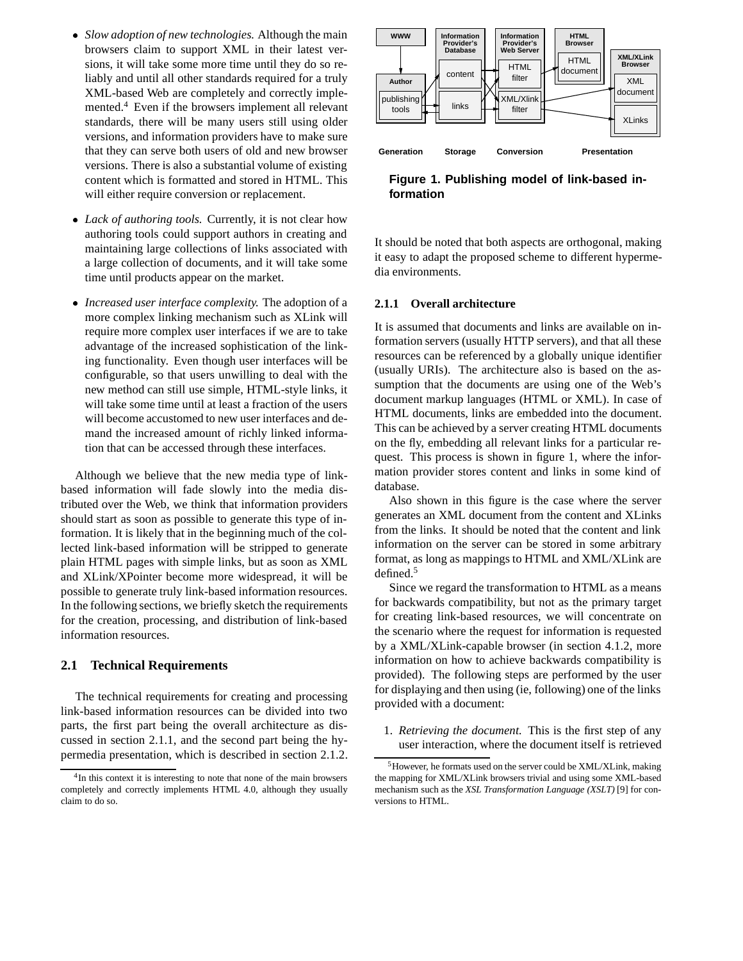- *Slow adoption of new technologies.* Although the main browsers claim to support XML in their latest versions, it will take some more time until they do so reliably and until all other standards required for a truly XML-based Web are completely and correctly implemented.4 Even if the browsers implement all relevant standards, there will be many users still using older versions, and information providers have to make sure that they can serve both users of old and new browser versions. There is also a substantial volume of existing content which is formatted and stored in HTML. This will either require conversion or replacement.
- *Lack of authoring tools.* Currently, it is not clear how authoring tools could support authors in creating and maintaining large collections of links associated with a large collection of documents, and it will take some time until products appear on the market.
- *Increased user interface complexity.* The adoption of a more complex linking mechanism such as XLink will require more complex user interfaces if we are to take advantage of the increased sophistication of the linking functionality. Even though user interfaces will be configurable, so that users unwilling to deal with the new method can still use simple, HTML-style links, it will take some time until at least a fraction of the users will become accustomed to new user interfaces and demand the increased amount of richly linked information that can be accessed through these interfaces.

Although we believe that the new media type of linkbased information will fade slowly into the media distributed over the Web, we think that information providers should start as soon as possible to generate this type of information. It is likely that in the beginning much of the collected link-based information will be stripped to generate plain HTML pages with simple links, but as soon as XML and XLink/XPointer become more widespread, it will be possible to generate truly link-based information resources. In the following sections, we briefly sketch the requirements for the creation, processing, and distribution of link-based information resources.

### **2.1 Technical Requirements**

The technical requirements for creating and processing link-based information resources can be divided into two parts, the first part being the overall architecture as discussed in section 2.1.1, and the second part being the hypermedia presentation, which is described in section 2.1.2.



**Figure 1. Publishing model of link-based information**

It should be noted that both aspects are orthogonal, making it easy to adapt the proposed scheme to different hypermedia environments.

#### **2.1.1 Overall architecture**

It is assumed that documents and links are available on information servers (usually HTTP servers), and that all these resources can be referenced by a globally unique identifier (usually URIs). The architecture also is based on the assumption that the documents are using one of the Web's document markup languages (HTML or XML). In case of HTML documents, links are embedded into the document. This can be achieved by a server creating HTML documents on the fly, embedding all relevant links for a particular request. This process is shown in figure 1, where the information provider stores content and links in some kind of database.

Also shown in this figure is the case where the server generates an XML document from the content and XLinks from the links. It should be noted that the content and link information on the server can be stored in some arbitrary format, as long as mappings to HTML and XML/XLink are defined.<sup>5</sup>

Since we regard the transformation to HTML as a means for backwards compatibility, but not as the primary target for creating link-based resources, we will concentrate on the scenario where the request for information is requested by a XML/XLink-capable browser (in section 4.1.2, more information on how to achieve backwards compatibility is provided). The following steps are performed by the user for displaying and then using (ie, following) one of the links provided with a document:

1. *Retrieving the document.* This is the first step of any user interaction, where the document itself is retrieved

<sup>&</sup>lt;sup>4</sup>In this context it is interesting to note that none of the main browsers completely and correctly implements HTML 4.0, although they usually claim to do so.

<sup>5</sup>However, he formats used on the server could be XML/XLink, making the mapping for XML/XLink browsers trivial and using some XML-based mechanism such as the *XSL Transformation Language (XSLT)* [9] for conversions to HTML.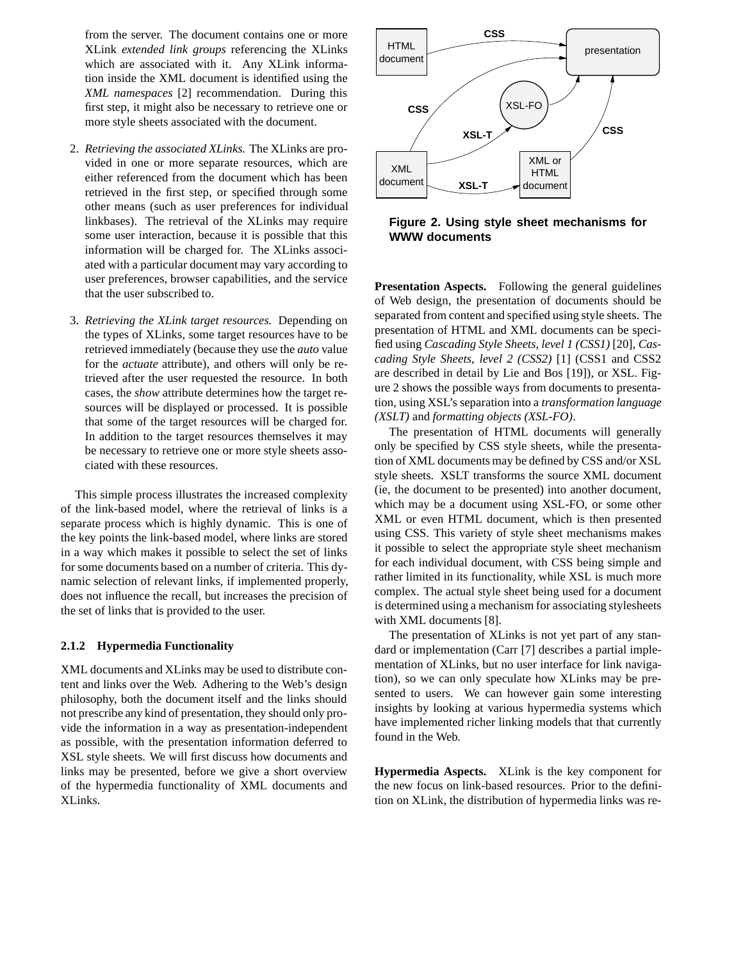from the server. The document contains one or more XLink *extended link groups* referencing the XLinks which are associated with it. Any XLink information inside the XML document is identified using the *XML namespaces* [2] recommendation. During this first step, it might also be necessary to retrieve one or more style sheets associated with the document.

- 2. *Retrieving the associated XLinks.* The XLinks are provided in one or more separate resources, which are either referenced from the document which has been retrieved in the first step, or specified through some other means (such as user preferences for individual linkbases). The retrieval of the XLinks may require some user interaction, because it is possible that this information will be charged for. The XLinks associated with a particular document may vary according to user preferences, browser capabilities, and the service that the user subscribed to.
- 3. *Retrieving the XLink target resources.* Depending on the types of XLinks, some target resources have to be retrieved immediately (because they use the *auto* value for the *actuate* attribute), and others will only be retrieved after the user requested the resource. In both cases, the *show* attribute determines how the target resources will be displayed or processed. It is possible that some of the target resources will be charged for. In addition to the target resources themselves it may be necessary to retrieve one or more style sheets associated with these resources.

This simple process illustrates the increased complexity of the link-based model, where the retrieval of links is a separate process which is highly dynamic. This is one of the key points the link-based model, where links are stored in a way which makes it possible to select the set of links for some documents based on a number of criteria. This dynamic selection of relevant links, if implemented properly, does not influence the recall, but increases the precision of the set of links that is provided to the user.

#### **2.1.2 Hypermedia Functionality**

XML documents and XLinks may be used to distribute content and links over the Web. Adhering to the Web's design philosophy, both the document itself and the links should not prescribe any kind of presentation, they should only provide the information in a way as presentation-independent as possible, with the presentation information deferred to XSL style sheets. We will first discuss how documents and links may be presented, before we give a short overview of the hypermedia functionality of XML documents and XLinks.



**Figure 2. Using style sheet mechanisms for WWW documents**

**Presentation Aspects.** Following the general guidelines of Web design, the presentation of documents should be separated from content and specified using style sheets. The presentation of HTML and XML documents can be specified using *Cascading Style Sheets, level 1 (CSS1)* [20], *Cascading Style Sheets, level 2 (CSS2)* [1] (CSS1 and CSS2 are described in detail by Lie and Bos [19]), or XSL. Figure 2 shows the possible ways from documents to presentation, using XSL's separation into a *transformation language (XSLT)* and *formatting objects (XSL-FO)*.

The presentation of HTML documents will generally only be specified by CSS style sheets, while the presentation of XML documents may be defined by CSS and/or XSL style sheets. XSLT transforms the source XML document (ie, the document to be presented) into another document, which may be a document using XSL-FO, or some other XML or even HTML document, which is then presented using CSS. This variety of style sheet mechanisms makes it possible to select the appropriate style sheet mechanism for each individual document, with CSS being simple and rather limited in its functionality, while XSL is much more complex. The actual style sheet being used for a document is determined using a mechanism for associating stylesheets with XML documents [8].

The presentation of XLinks is not yet part of any standard or implementation (Carr [7] describes a partial implementation of XLinks, but no user interface for link navigation), so we can only speculate how XLinks may be presented to users. We can however gain some interesting insights by looking at various hypermedia systems which have implemented richer linking models that that currently found in the Web.

**Hypermedia Aspects.** XLink is the key component for the new focus on link-based resources. Prior to the definition on XLink, the distribution of hypermedia links was re-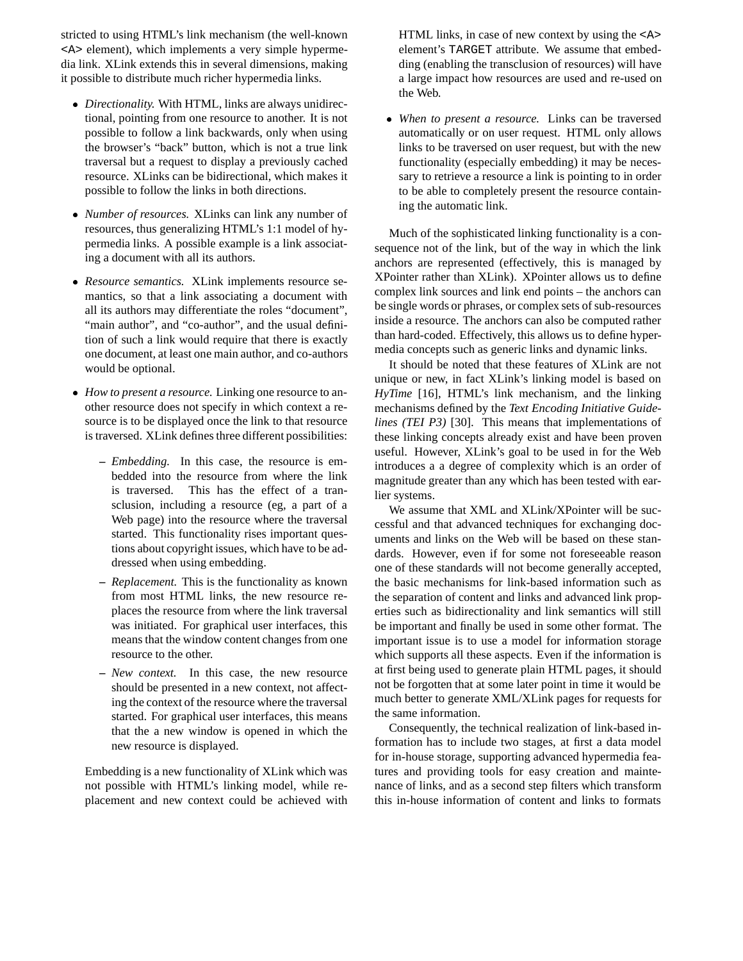stricted to using HTML's link mechanism (the well-known <A> element), which implements a very simple hypermedia link. XLink extends this in several dimensions, making it possible to distribute much richer hypermedia links.

- *Directionality.* With HTML, links are always unidirectional, pointing from one resource to another. It is not possible to follow a link backwards, only when using the browser's "back" button, which is not a true link traversal but a request to display a previously cached resource. XLinks can be bidirectional, which makes it possible to follow the links in both directions.
- *Number of resources.* XLinks can link any number of resources, thus generalizing HTML's 1:1 model of hypermedia links. A possible example is a link associating a document with all its authors.
- *Resource semantics.* XLink implements resource semantics, so that a link associating a document with all its authors may differentiate the roles "document", "main author", and "co-author", and the usual definition of such a link would require that there is exactly one document, at least one main author, and co-authors would be optional.
- *How to present a resource.* Linking one resource to another resource does not specify in which context a resource is to be displayed once the link to that resource is traversed. XLink defines three different possibilities:
	- **–** *Embedding.* In this case, the resource is embedded into the resource from where the link is traversed. This has the effect of a transclusion, including a resource (eg, a part of a Web page) into the resource where the traversal started. This functionality rises important questions about copyright issues, which have to be addressed when using embedding.
	- **–** *Replacement.* This is the functionality as known from most HTML links, the new resource replaces the resource from where the link traversal was initiated. For graphical user interfaces, this means that the window content changes from one resource to the other.
	- **–** *New context.* In this case, the new resource should be presented in a new context, not affecting the context of the resource where the traversal started. For graphical user interfaces, this means that the a new window is opened in which the new resource is displayed.

Embedding is a new functionality of XLink which was not possible with HTML's linking model, while replacement and new context could be achieved with HTML links, in case of new context by using the <A> element's TARGET attribute. We assume that embedding (enabling the transclusion of resources) will have a large impact how resources are used and re-used on the Web.

 *When to present a resource.* Links can be traversed automatically or on user request. HTML only allows links to be traversed on user request, but with the new functionality (especially embedding) it may be necessary to retrieve a resource a link is pointing to in order to be able to completely present the resource containing the automatic link.

Much of the sophisticated linking functionality is a consequence not of the link, but of the way in which the link anchors are represented (effectively, this is managed by XPointer rather than XLink). XPointer allows us to define complex link sources and link end points – the anchors can be single words or phrases, or complex sets of sub-resources inside a resource. The anchors can also be computed rather than hard-coded. Effectively, this allows us to define hypermedia concepts such as generic links and dynamic links.

It should be noted that these features of XLink are not unique or new, in fact XLink's linking model is based on *HyTime* [16], HTML's link mechanism, and the linking mechanisms defined by the *Text Encoding Initiative Guidelines (TEI P3)* [30]. This means that implementations of these linking concepts already exist and have been proven useful. However, XLink's goal to be used in for the Web introduces a a degree of complexity which is an order of magnitude greater than any which has been tested with earlier systems.

We assume that XML and XLink/XPointer will be successful and that advanced techniques for exchanging documents and links on the Web will be based on these standards. However, even if for some not foreseeable reason one of these standards will not become generally accepted, the basic mechanisms for link-based information such as the separation of content and links and advanced link properties such as bidirectionality and link semantics will still be important and finally be used in some other format. The important issue is to use a model for information storage which supports all these aspects. Even if the information is at first being used to generate plain HTML pages, it should not be forgotten that at some later point in time it would be much better to generate XML/XLink pages for requests for the same information.

Consequently, the technical realization of link-based information has to include two stages, at first a data model for in-house storage, supporting advanced hypermedia features and providing tools for easy creation and maintenance of links, and as a second step filters which transform this in-house information of content and links to formats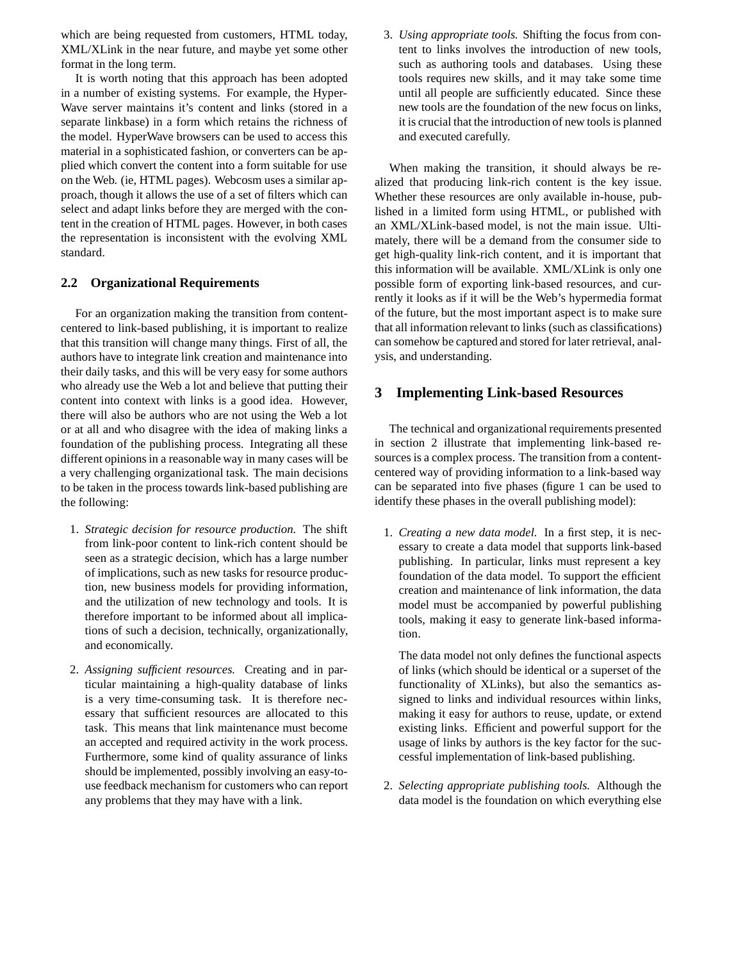which are being requested from customers, HTML today, XML/XLink in the near future, and maybe yet some other format in the long term.

It is worth noting that this approach has been adopted in a number of existing systems. For example, the Hyper-Wave server maintains it's content and links (stored in a separate linkbase) in a form which retains the richness of the model. HyperWave browsers can be used to access this material in a sophisticated fashion, or converters can be applied which convert the content into a form suitable for use on the Web. (ie, HTML pages). Webcosm uses a similar approach, though it allows the use of a set of filters which can select and adapt links before they are merged with the content in the creation of HTML pages. However, in both cases the representation is inconsistent with the evolving XML standard.

## **2.2 Organizational Requirements**

For an organization making the transition from contentcentered to link-based publishing, it is important to realize that this transition will change many things. First of all, the authors have to integrate link creation and maintenance into their daily tasks, and this will be very easy for some authors who already use the Web a lot and believe that putting their content into context with links is a good idea. However, there will also be authors who are not using the Web a lot or at all and who disagree with the idea of making links a foundation of the publishing process. Integrating all these different opinions in a reasonable way in many cases will be a very challenging organizational task. The main decisions to be taken in the process towards link-based publishing are the following:

- 1. *Strategic decision for resource production.* The shift from link-poor content to link-rich content should be seen as a strategic decision, which has a large number of implications, such as new tasks for resource production, new business models for providing information, and the utilization of new technology and tools. It is therefore important to be informed about all implications of such a decision, technically, organizationally, and economically.
- 2. *Assigning sufficient resources.* Creating and in particular maintaining a high-quality database of links is a very time-consuming task. It is therefore necessary that sufficient resources are allocated to this task. This means that link maintenance must become an accepted and required activity in the work process. Furthermore, some kind of quality assurance of links should be implemented, possibly involving an easy-touse feedback mechanism for customers who can report any problems that they may have with a link.

3. *Using appropriate tools.* Shifting the focus from content to links involves the introduction of new tools, such as authoring tools and databases. Using these tools requires new skills, and it may take some time until all people are sufficiently educated. Since these new tools are the foundation of the new focus on links, it is crucial that the introduction of new tools is planned and executed carefully.

When making the transition, it should always be realized that producing link-rich content is the key issue. Whether these resources are only available in-house, published in a limited form using HTML, or published with an XML/XLink-based model, is not the main issue. Ultimately, there will be a demand from the consumer side to get high-quality link-rich content, and it is important that this information will be available. XML/XLink is only one possible form of exporting link-based resources, and currently it looks as if it will be the Web's hypermedia format of the future, but the most important aspect is to make sure that all information relevant to links (such as classifications) can somehow be captured and stored for later retrieval, analysis, and understanding.

## **3 Implementing Link-based Resources**

The technical and organizational requirements presented in section 2 illustrate that implementing link-based resources is a complex process. The transition from a contentcentered way of providing information to a link-based way can be separated into five phases (figure 1 can be used to identify these phases in the overall publishing model):

1. *Creating a new data model.* In a first step, it is necessary to create a data model that supports link-based publishing. In particular, links must represent a key foundation of the data model. To support the efficient creation and maintenance of link information, the data model must be accompanied by powerful publishing tools, making it easy to generate link-based information.

The data model not only defines the functional aspects of links (which should be identical or a superset of the functionality of XLinks), but also the semantics assigned to links and individual resources within links, making it easy for authors to reuse, update, or extend existing links. Efficient and powerful support for the usage of links by authors is the key factor for the successful implementation of link-based publishing.

2. *Selecting appropriate publishing tools.* Although the data model is the foundation on which everything else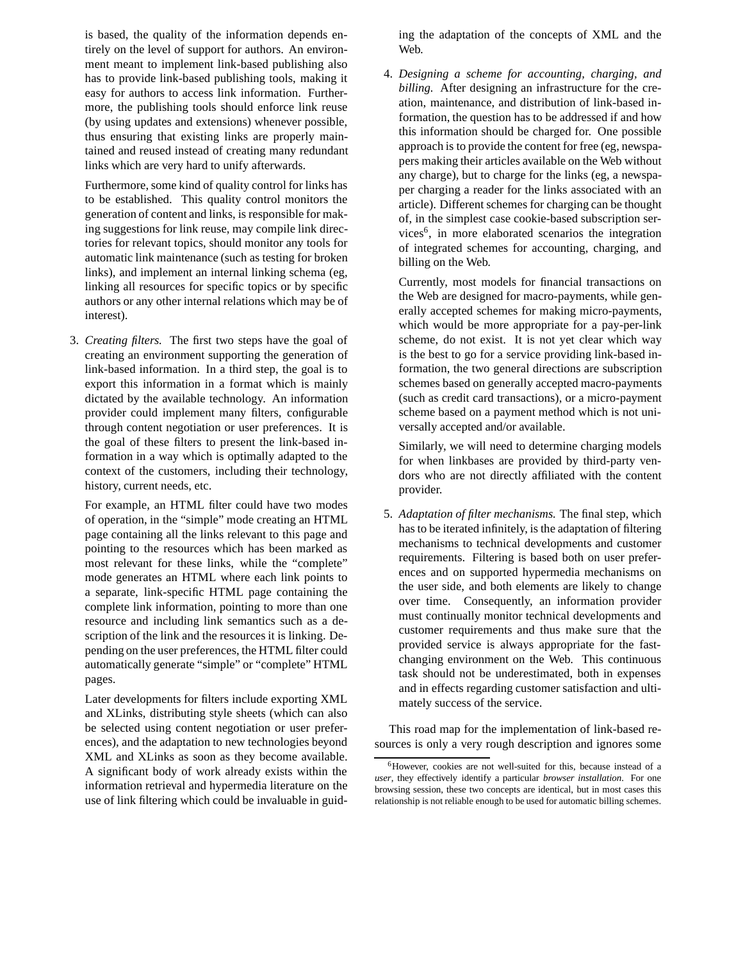is based, the quality of the information depends entirely on the level of support for authors. An environment meant to implement link-based publishing also has to provide link-based publishing tools, making it easy for authors to access link information. Furthermore, the publishing tools should enforce link reuse (by using updates and extensions) whenever possible, thus ensuring that existing links are properly maintained and reused instead of creating many redundant links which are very hard to unify afterwards.

Furthermore, some kind of quality control for links has to be established. This quality control monitors the generation of content and links, is responsible for making suggestions for link reuse, may compile link directories for relevant topics, should monitor any tools for automatic link maintenance (such as testing for broken links), and implement an internal linking schema (eg, linking all resources for specific topics or by specific authors or any other internal relations which may be of interest).

3. *Creating filters.* The first two steps have the goal of creating an environment supporting the generation of link-based information. In a third step, the goal is to export this information in a format which is mainly dictated by the available technology. An information provider could implement many filters, configurable through content negotiation or user preferences. It is the goal of these filters to present the link-based information in a way which is optimally adapted to the context of the customers, including their technology, history, current needs, etc.

For example, an HTML filter could have two modes of operation, in the "simple" mode creating an HTML page containing all the links relevant to this page and pointing to the resources which has been marked as most relevant for these links, while the "complete" mode generates an HTML where each link points to a separate, link-specific HTML page containing the complete link information, pointing to more than one resource and including link semantics such as a description of the link and the resources it is linking. Depending on the user preferences, the HTML filter could automatically generate "simple" or "complete" HTML pages.

Later developments for filters include exporting XML and XLinks, distributing style sheets (which can also be selected using content negotiation or user preferences), and the adaptation to new technologies beyond XML and XLinks as soon as they become available. A significant body of work already exists within the information retrieval and hypermedia literature on the use of link filtering which could be invaluable in guiding the adaptation of the concepts of XML and the Web.

4. *Designing a scheme for accounting, charging, and billing.* After designing an infrastructure for the creation, maintenance, and distribution of link-based information, the question has to be addressed if and how this information should be charged for. One possible approach is to provide the content for free (eg, newspapers making their articles available on the Web without any charge), but to charge for the links (eg, a newspaper charging a reader for the links associated with an article). Different schemes for charging can be thought of, in the simplest case cookie-based subscription ser $vices<sup>6</sup>$ , in more elaborated scenarios the integration of integrated schemes for accounting, charging, and billing on the Web.

Currently, most models for financial transactions on the Web are designed for macro-payments, while generally accepted schemes for making micro-payments, which would be more appropriate for a pay-per-link scheme, do not exist. It is not yet clear which way is the best to go for a service providing link-based information, the two general directions are subscription schemes based on generally accepted macro-payments (such as credit card transactions), or a micro-payment scheme based on a payment method which is not universally accepted and/or available.

Similarly, we will need to determine charging models for when linkbases are provided by third-party vendors who are not directly affiliated with the content provider.

5. *Adaptation of filter mechanisms.* The final step, which has to be iterated infinitely, is the adaptation of filtering mechanisms to technical developments and customer requirements. Filtering is based both on user preferences and on supported hypermedia mechanisms on the user side, and both elements are likely to change over time. Consequently, an information provider must continually monitor technical developments and customer requirements and thus make sure that the provided service is always appropriate for the fastchanging environment on the Web. This continuous task should not be underestimated, both in expenses and in effects regarding customer satisfaction and ultimately success of the service.

This road map for the implementation of link-based resources is only a very rough description and ignores some

<sup>6</sup>However, cookies are not well-suited for this, because instead of a *user*, they effectively identify a particular *browser installation*. For one browsing session, these two concepts are identical, but in most cases this relationship is not reliable enough to be used for automatic billing schemes.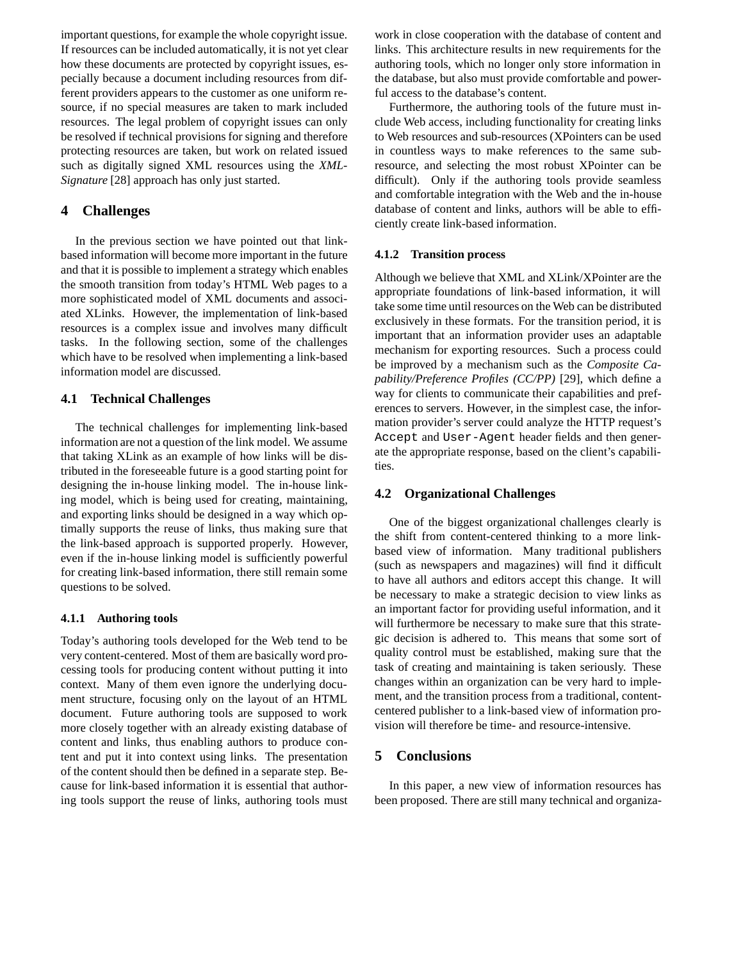important questions, for example the whole copyright issue. If resources can be included automatically, it is not yet clear how these documents are protected by copyright issues, especially because a document including resources from different providers appears to the customer as one uniform resource, if no special measures are taken to mark included resources. The legal problem of copyright issues can only be resolved if technical provisions for signing and therefore protecting resources are taken, but work on related issued such as digitally signed XML resources using the *XML-Signature* [28] approach has only just started.

## **4 Challenges**

In the previous section we have pointed out that linkbased information will become more important in the future and that it is possible to implement a strategy which enables the smooth transition from today's HTML Web pages to a more sophisticated model of XML documents and associated XLinks. However, the implementation of link-based resources is a complex issue and involves many difficult tasks. In the following section, some of the challenges which have to be resolved when implementing a link-based information model are discussed.

#### **4.1 Technical Challenges**

The technical challenges for implementing link-based information are not a question of the link model. We assume that taking XLink as an example of how links will be distributed in the foreseeable future is a good starting point for designing the in-house linking model. The in-house linking model, which is being used for creating, maintaining, and exporting links should be designed in a way which optimally supports the reuse of links, thus making sure that the link-based approach is supported properly. However, even if the in-house linking model is sufficiently powerful for creating link-based information, there still remain some questions to be solved.

#### **4.1.1 Authoring tools**

Today's authoring tools developed for the Web tend to be very content-centered. Most of them are basically word processing tools for producing content without putting it into context. Many of them even ignore the underlying document structure, focusing only on the layout of an HTML document. Future authoring tools are supposed to work more closely together with an already existing database of content and links, thus enabling authors to produce content and put it into context using links. The presentation of the content should then be defined in a separate step. Because for link-based information it is essential that authoring tools support the reuse of links, authoring tools must

work in close cooperation with the database of content and links. This architecture results in new requirements for the authoring tools, which no longer only store information in the database, but also must provide comfortable and powerful access to the database's content.

Furthermore, the authoring tools of the future must include Web access, including functionality for creating links to Web resources and sub-resources (XPointers can be used in countless ways to make references to the same subresource, and selecting the most robust XPointer can be difficult). Only if the authoring tools provide seamless and comfortable integration with the Web and the in-house database of content and links, authors will be able to efficiently create link-based information.

#### **4.1.2 Transition process**

Although we believe that XML and XLink/XPointer are the appropriate foundations of link-based information, it will take some time until resources on the Web can be distributed exclusively in these formats. For the transition period, it is important that an information provider uses an adaptable mechanism for exporting resources. Such a process could be improved by a mechanism such as the *Composite Capability/Preference Profiles (CC/PP)* [29], which define a way for clients to communicate their capabilities and preferences to servers. However, in the simplest case, the information provider's server could analyze the HTTP request's Accept and User-Agent header fields and then generate the appropriate response, based on the client's capabilities.

#### **4.2 Organizational Challenges**

One of the biggest organizational challenges clearly is the shift from content-centered thinking to a more linkbased view of information. Many traditional publishers (such as newspapers and magazines) will find it difficult to have all authors and editors accept this change. It will be necessary to make a strategic decision to view links as an important factor for providing useful information, and it will furthermore be necessary to make sure that this strategic decision is adhered to. This means that some sort of quality control must be established, making sure that the task of creating and maintaining is taken seriously. These changes within an organization can be very hard to implement, and the transition process from a traditional, contentcentered publisher to a link-based view of information provision will therefore be time- and resource-intensive.

### **5 Conclusions**

In this paper, a new view of information resources has been proposed. There are still many technical and organiza-